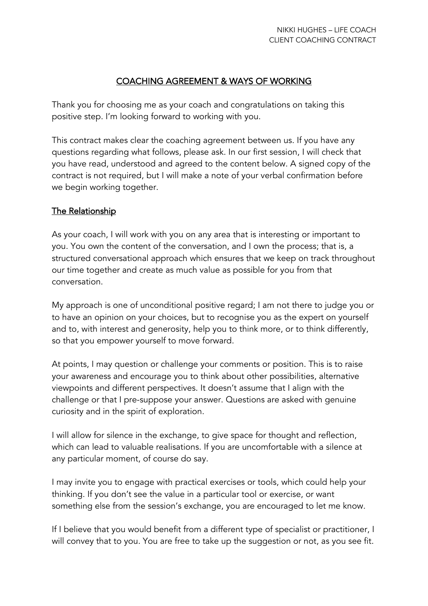# COACHING AGREEMENT & WAYS OF WORKING

Thank you for choosing me as your coach and congratulations on taking this positive step. I'm looking forward to working with you.

This contract makes clear the coaching agreement between us. If you have any questions regarding what follows, please ask. In our first session, I will check that you have read, understood and agreed to the content below. A signed copy of the contract is not required, but I will make a note of your verbal confirmation before we begin working together.

## The Relationship

As your coach, I will work with you on any area that is interesting or important to you. You own the content of the conversation, and I own the process; that is, a structured conversational approach which ensures that we keep on track throughout our time together and create as much value as possible for you from that conversation.

My approach is one of unconditional positive regard; I am not there to judge you or to have an opinion on your choices, but to recognise you as the expert on yourself and to, with interest and generosity, help you to think more, or to think differently, so that you empower yourself to move forward.

At points, I may question or challenge your comments or position. This is to raise your awareness and encourage you to think about other possibilities, alternative viewpoints and different perspectives. It doesn't assume that I align with the challenge or that I pre-suppose your answer. Questions are asked with genuine curiosity and in the spirit of exploration.

I will allow for silence in the exchange, to give space for thought and reflection, which can lead to valuable realisations. If you are uncomfortable with a silence at any particular moment, of course do say.

I may invite you to engage with practical exercises or tools, which could help your thinking. If you don't see the value in a particular tool or exercise, or want something else from the session's exchange, you are encouraged to let me know.

If I believe that you would benefit from a different type of specialist or practitioner, I will convey that to you. You are free to take up the suggestion or not, as you see fit.